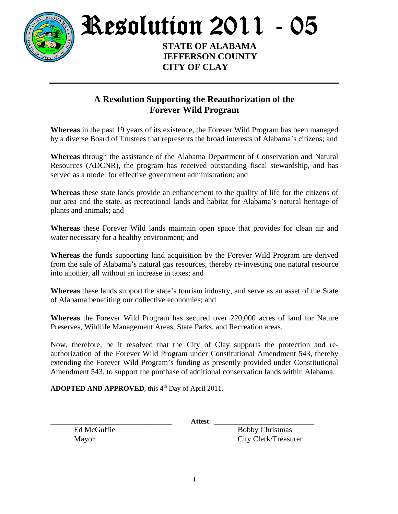

Resolution 2011 - 05 **STATE OF ALABAMA JEFFERSON COUNTY** 

 **CITY OF CLAY** 

## **A Resolution Supporting the Reauthorization of the Forever Wild Program**

**Whereas** in the past 19 years of its existence, the Forever Wild Program has been managed by a diverse Board of Trustees that represents the broad interests of Alabama's citizens; and

**Whereas** through the assistance of the Alabama Department of Conservation and Natural Resources (ADCNR), the program has received outstanding fiscal stewardship, and has served as a model for effective government administration; and

**Whereas** these state lands provide an enhancement to the quality of life for the citizens of our area and the state, as recreational lands and habitat for Alabama's natural heritage of plants and animals; and

**Whereas** these Forever Wild lands maintain open space that provides for clean air and water necessary for a healthy environment; and

**Whereas** the funds supporting land acquisition by the Forever Wild Program are derived from the sale of Alabama's natural gas resources, thereby re-investing one natural resource into another, all without an increase in taxes; and

**Whereas** these lands support the state's tourism industry, and serve as an asset of the State of Alabama benefiting our collective economies; and

**Whereas** the Forever Wild Program has secured over 220,000 acres of land for Nature Preserves, Wildlife Management Areas, State Parks, and Recreation areas.

Now, therefore, be it resolved that the City of Clay supports the protection and reauthorization of the Forever Wild Program under Constitutional Amendment 543, thereby extending the Forever Wild Program's funding as presently provided under Constitutional Amendment 543, to support the purchase of additional conservation lands within Alabama.

**ADOPTED AND APPROVED**, this 4<sup>th</sup> Day of April 2011.

\_\_\_\_\_\_\_\_\_\_\_\_\_\_\_\_\_\_\_\_\_\_\_\_\_\_\_\_\_\_\_\_\_\_ **Attest**: \_\_\_\_\_\_\_\_\_\_\_\_\_\_\_\_\_\_\_\_\_\_\_\_\_\_\_\_

Ed McGuffie Bobby Christmas Mayor City Clerk/Treasurer